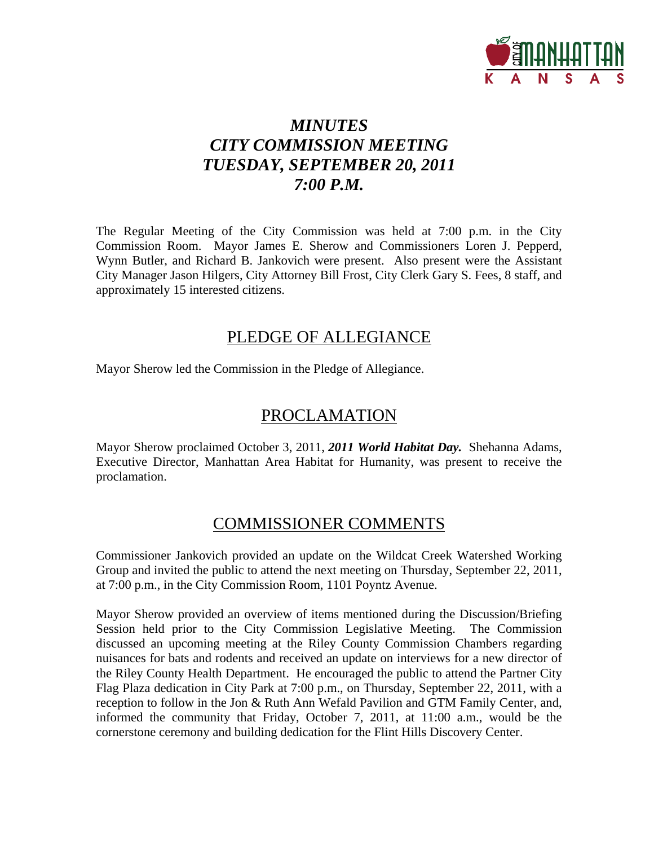

# *MINUTES CITY COMMISSION MEETING TUESDAY, SEPTEMBER 20, 2011 7:00 P.M.*

The Regular Meeting of the City Commission was held at 7:00 p.m. in the City Commission Room. Mayor James E. Sherow and Commissioners Loren J. Pepperd, Wynn Butler, and Richard B. Jankovich were present. Also present were the Assistant City Manager Jason Hilgers, City Attorney Bill Frost, City Clerk Gary S. Fees, 8 staff, and approximately 15 interested citizens.

## PLEDGE OF ALLEGIANCE

Mayor Sherow led the Commission in the Pledge of Allegiance.

## PROCLAMATION

Mayor Sherow proclaimed October 3, 2011, *2011 World Habitat Day.* Shehanna Adams, Executive Director, Manhattan Area Habitat for Humanity, was present to receive the proclamation.

## COMMISSIONER COMMENTS

Commissioner Jankovich provided an update on the Wildcat Creek Watershed Working Group and invited the public to attend the next meeting on Thursday, September 22, 2011, at 7:00 p.m., in the City Commission Room, 1101 Poyntz Avenue.

Mayor Sherow provided an overview of items mentioned during the Discussion/Briefing Session held prior to the City Commission Legislative Meeting. The Commission discussed an upcoming meeting at the Riley County Commission Chambers regarding nuisances for bats and rodents and received an update on interviews for a new director of the Riley County Health Department. He encouraged the public to attend the Partner City Flag Plaza dedication in City Park at 7:00 p.m., on Thursday, September 22, 2011, with a reception to follow in the Jon & Ruth Ann Wefald Pavilion and GTM Family Center, and, informed the community that Friday, October 7, 2011, at 11:00 a.m., would be the cornerstone ceremony and building dedication for the Flint Hills Discovery Center.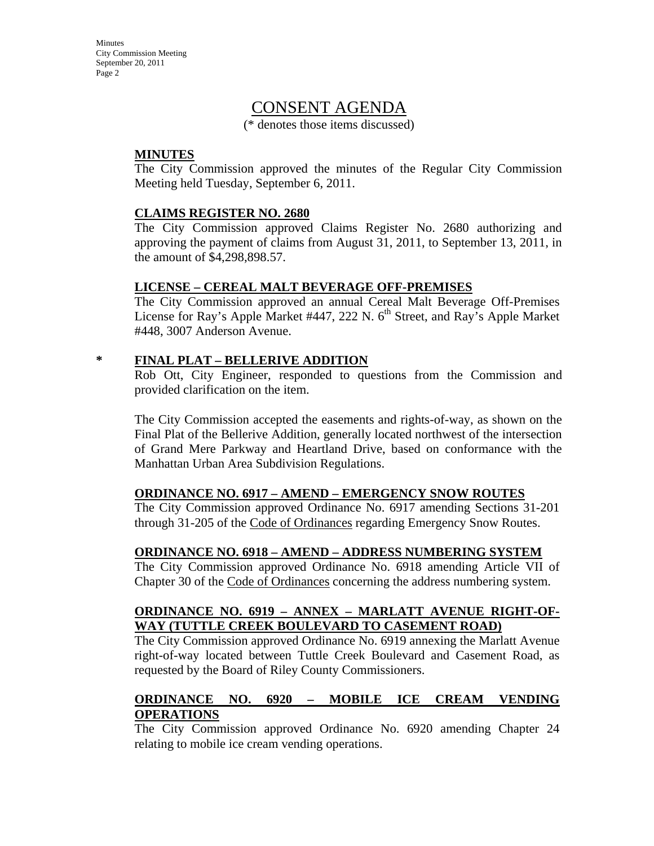**Minutes** City Commission Meeting September 20, 2011 Page 2

## CONSENT AGENDA

(\* denotes those items discussed)

#### **MINUTES**

The City Commission approved the minutes of the Regular City Commission Meeting held Tuesday, September 6, 2011.

#### **CLAIMS REGISTER NO. 2680**

The City Commission approved Claims Register No. 2680 authorizing and approving the payment of claims from August 31, 2011, to September 13, 2011, in the amount of \$4,298,898.57.

#### **LICENSE – CEREAL MALT BEVERAGE OFF-PREMISES**

The City Commission approved an annual Cereal Malt Beverage Off-Premises License for Ray's Apple Market #447, 222 N.  $6<sup>th</sup>$  Street, and Ray's Apple Market #448, 3007 Anderson Avenue.

#### **\* FINAL PLAT – BELLERIVE ADDITION**

Rob Ott, City Engineer, responded to questions from the Commission and provided clarification on the item.

The City Commission accepted the easements and rights-of-way, as shown on the Final Plat of the Bellerive Addition, generally located northwest of the intersection of Grand Mere Parkway and Heartland Drive, based on conformance with the Manhattan Urban Area Subdivision Regulations.

#### **ORDINANCE NO. 6917 – AMEND – EMERGENCY SNOW ROUTES**

The City Commission approved Ordinance No. 6917 amending Sections 31-201 through 31-205 of the Code of Ordinances regarding Emergency Snow Routes.

#### **ORDINANCE NO. 6918 – AMEND – ADDRESS NUMBERING SYSTEM**

The City Commission approved Ordinance No. 6918 amending Article VII of Chapter 30 of the Code of Ordinances concerning the address numbering system.

#### **ORDINANCE NO. 6919 – ANNEX – MARLATT AVENUE RIGHT-OF-WAY (TUTTLE CREEK BOULEVARD TO CASEMENT ROAD)**

The City Commission approved Ordinance No. 6919 annexing the Marlatt Avenue right-of-way located between Tuttle Creek Boulevard and Casement Road, as requested by the Board of Riley County Commissioners.

### **ORDINANCE NO. 6920 – MOBILE ICE CREAM VENDING OPERATIONS**

The City Commission approved Ordinance No. 6920 amending Chapter 24 relating to mobile ice cream vending operations.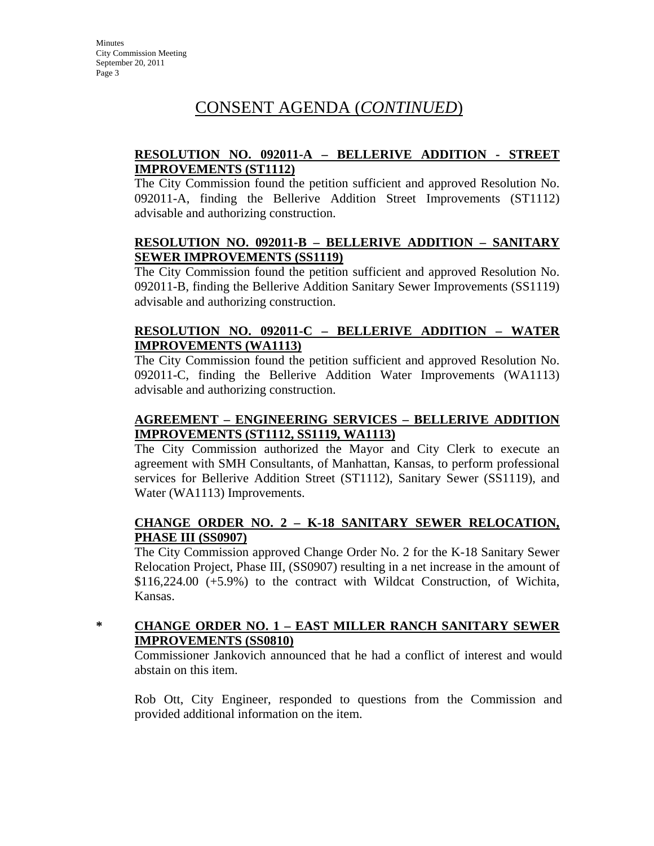# CONSENT AGENDA (*CONTINUED*)

#### **RESOLUTION NO. 092011-A – BELLERIVE ADDITION - STREET IMPROVEMENTS (ST1112)**

The City Commission found the petition sufficient and approved Resolution No. 092011-A, finding the Bellerive Addition Street Improvements (ST1112) advisable and authorizing construction.

#### **RESOLUTION NO. 092011-B – BELLERIVE ADDITION – SANITARY SEWER IMPROVEMENTS (SS1119)**

The City Commission found the petition sufficient and approved Resolution No. 092011-B, finding the Bellerive Addition Sanitary Sewer Improvements (SS1119) advisable and authorizing construction.

#### **RESOLUTION NO. 092011-C – BELLERIVE ADDITION – WATER IMPROVEMENTS (WA1113)**

The City Commission found the petition sufficient and approved Resolution No. 092011-C, finding the Bellerive Addition Water Improvements (WA1113) advisable and authorizing construction.

### **AGREEMENT – ENGINEERING SERVICES – BELLERIVE ADDITION IMPROVEMENTS (ST1112, SS1119, WA1113)**

The City Commission authorized the Mayor and City Clerk to execute an agreement with SMH Consultants, of Manhattan, Kansas, to perform professional services for Bellerive Addition Street (ST1112), Sanitary Sewer (SS1119), and Water (WA1113) Improvements.

### **CHANGE ORDER NO. 2 – K-18 SANITARY SEWER RELOCATION, PHASE III (SS0907)**

The City Commission approved Change Order No. 2 for the K-18 Sanitary Sewer Relocation Project, Phase III, (SS0907) resulting in a net increase in the amount of \$116,224.00 (+5.9%) to the contract with Wildcat Construction, of Wichita, Kansas.

#### **\* CHANGE ORDER NO. 1 – EAST MILLER RANCH SANITARY SEWER IMPROVEMENTS (SS0810)**

Commissioner Jankovich announced that he had a conflict of interest and would abstain on this item.

Rob Ott, City Engineer, responded to questions from the Commission and provided additional information on the item.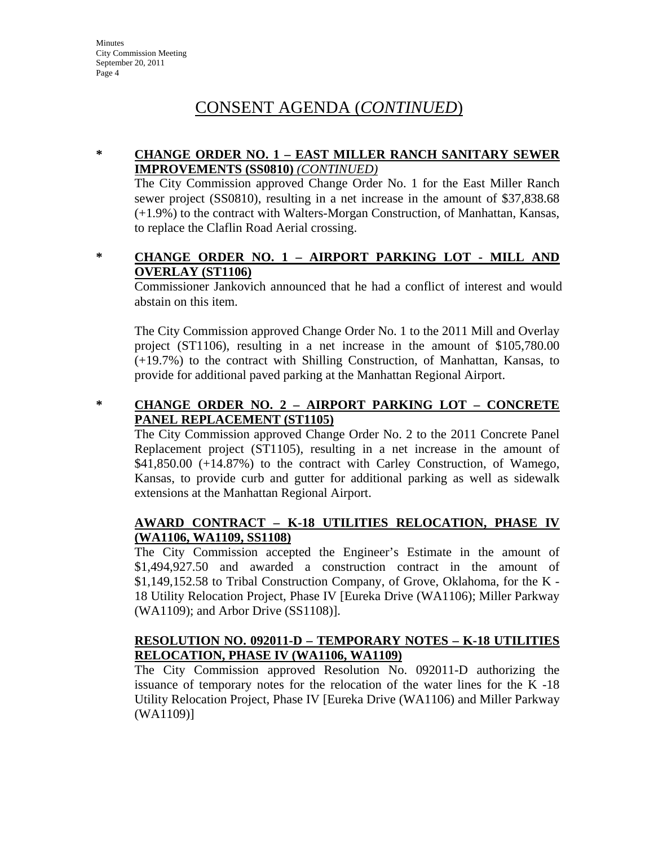# CONSENT AGENDA (*CONTINUED*)

#### **\* CHANGE ORDER NO. 1 – EAST MILLER RANCH SANITARY SEWER IMPROVEMENTS (SS0810)** *(CONTINUED)*

The City Commission approved Change Order No. 1 for the East Miller Ranch sewer project (SS0810), resulting in a net increase in the amount of \$37,838.68 (+1.9%) to the contract with Walters-Morgan Construction, of Manhattan, Kansas, to replace the Claflin Road Aerial crossing.

#### **\* CHANGE ORDER NO. 1 – AIRPORT PARKING LOT - MILL AND OVERLAY (ST1106)**

Commissioner Jankovich announced that he had a conflict of interest and would abstain on this item.

The City Commission approved Change Order No. 1 to the 2011 Mill and Overlay project (ST1106), resulting in a net increase in the amount of \$105,780.00 (+19.7%) to the contract with Shilling Construction, of Manhattan, Kansas, to provide for additional paved parking at the Manhattan Regional Airport.

### **\* CHANGE ORDER NO. 2 – AIRPORT PARKING LOT – CONCRETE PANEL REPLACEMENT (ST1105)**

The City Commission approved Change Order No. 2 to the 2011 Concrete Panel Replacement project (ST1105), resulting in a net increase in the amount of \$41,850.00 (+14.87%) to the contract with Carley Construction, of Wamego, Kansas, to provide curb and gutter for additional parking as well as sidewalk extensions at the Manhattan Regional Airport.

#### **AWARD CONTRACT – K-18 UTILITIES RELOCATION, PHASE IV (WA1106, WA1109, SS1108)**

The City Commission accepted the Engineer's Estimate in the amount of \$1,494,927.50 and awarded a construction contract in the amount of \$1,149,152.58 to Tribal Construction Company, of Grove, Oklahoma, for the K - 18 Utility Relocation Project, Phase IV [Eureka Drive (WA1106); Miller Parkway (WA1109); and Arbor Drive (SS1108)].

### **RESOLUTION NO. 092011-D – TEMPORARY NOTES – K-18 UTILITIES RELOCATION, PHASE IV (WA1106, WA1109)**

The City Commission approved Resolution No. 092011-D authorizing the issuance of temporary notes for the relocation of the water lines for the K -18 Utility Relocation Project, Phase IV [Eureka Drive (WA1106) and Miller Parkway (WA1109)]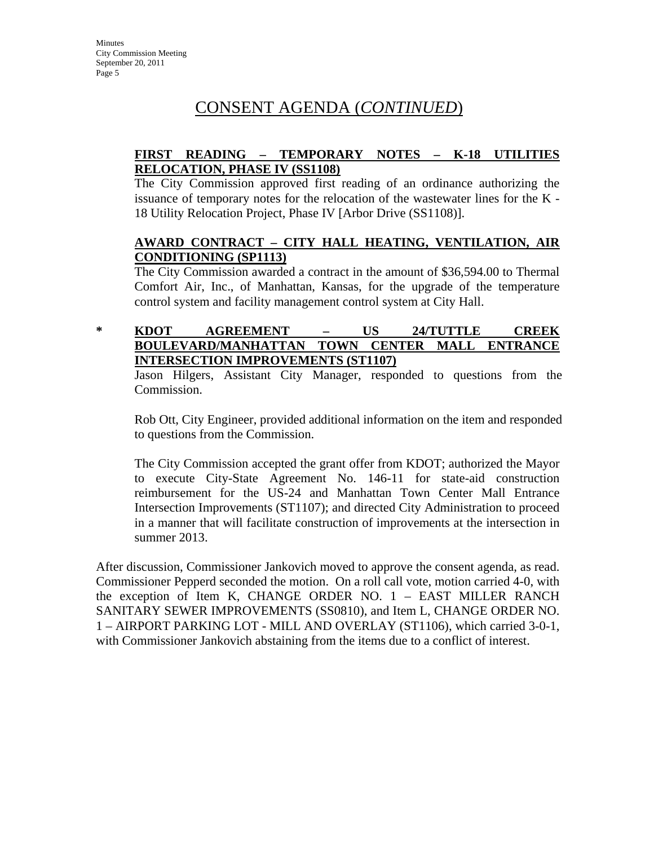# CONSENT AGENDA (*CONTINUED*)

#### **FIRST READING – TEMPORARY NOTES – K-18 UTILITIES RELOCATION, PHASE IV (SS1108)**

The City Commission approved first reading of an ordinance authorizing the issuance of temporary notes for the relocation of the wastewater lines for the K - 18 Utility Relocation Project, Phase IV [Arbor Drive (SS1108)].

#### **AWARD CONTRACT – CITY HALL HEATING, VENTILATION, AIR CONDITIONING (SP1113)**

The City Commission awarded a contract in the amount of \$36,594.00 to Thermal Comfort Air, Inc., of Manhattan, Kansas, for the upgrade of the temperature control system and facility management control system at City Hall.

#### **\* KDOT AGREEMENT – US 24/TUTTLE CREEK BOULEVARD/MANHATTAN TOWN CENTER MALL ENTRANCE INTERSECTION IMPROVEMENTS (ST1107)**

Jason Hilgers, Assistant City Manager, responded to questions from the Commission.

Rob Ott, City Engineer, provided additional information on the item and responded to questions from the Commission.

The City Commission accepted the grant offer from KDOT; authorized the Mayor to execute City-State Agreement No. 146-11 for state-aid construction reimbursement for the US-24 and Manhattan Town Center Mall Entrance Intersection Improvements (ST1107); and directed City Administration to proceed in a manner that will facilitate construction of improvements at the intersection in summer 2013.

After discussion, Commissioner Jankovich moved to approve the consent agenda, as read. Commissioner Pepperd seconded the motion. On a roll call vote, motion carried 4-0, with the exception of Item K, CHANGE ORDER NO. 1 – EAST MILLER RANCH SANITARY SEWER IMPROVEMENTS (SS0810), and Item L, CHANGE ORDER NO. 1 – AIRPORT PARKING LOT - MILL AND OVERLAY (ST1106), which carried 3-0-1, with Commissioner Jankovich abstaining from the items due to a conflict of interest.